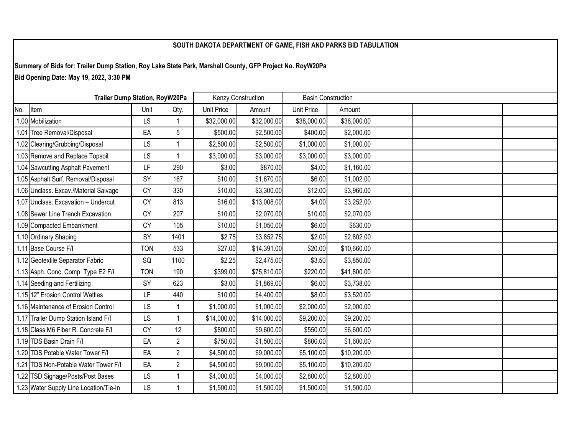## **SOUTH DAKOTA DEPARTMENT OF GAME, FISH AND PARKS BID TABULATION**

**Summary of Bids for: Trailer Dump Station, Roy Lake State Park, Marshall County, GFP Project No. RoyW20Pa Bid Opening Date: May 19, 2022, 3:30 PM**

| <b>Trailer Dump Station, RoyW20Pa</b> |                                        |            | Kenzy Construction |             | <b>Basin Construction</b> |             |             |  |  |  |
|---------------------------------------|----------------------------------------|------------|--------------------|-------------|---------------------------|-------------|-------------|--|--|--|
| No.                                   | Item                                   | Unit       | Qty.               | Unit Price  | Amount                    | Unit Price  | Amount      |  |  |  |
|                                       | 1.00 Mobilization                      | LS         | $\overline{1}$     | \$32,000.00 | \$32,000.00               | \$38,000.00 | \$38,000.00 |  |  |  |
|                                       | 1.01 Tree Removal/Disposal             | EA         | 5                  | \$500.00    | \$2,500.00                | \$400.00    | \$2,000.00  |  |  |  |
|                                       | 1.02 Clearing/Grubbing/Disposal        | LS         |                    | \$2,500.00  | \$2,500.00                | \$1,000.00  | \$1,000.00  |  |  |  |
|                                       | 1.03 Remove and Replace Topsoil        | LS         |                    | \$3,000.00  | \$3,000.00                | \$3,000.00  | \$3,000.00  |  |  |  |
|                                       | 1.04 Sawcutting Asphalt Pavement       | LF         | 290                | \$3.00      | \$870.00                  | \$4.00      | \$1,160.00  |  |  |  |
|                                       | 1.05 Asphalt Surf. Removal/Disposal    | SY         | 167                | \$10.00     | \$1,670.00                | \$6.00      | \$1,002.00  |  |  |  |
|                                       | 1.06 Unclass. Excav./Material Salvage  | CY         | 330                | \$10.00     | \$3,300.00                | \$12.00     | \$3,960.00  |  |  |  |
|                                       | 1.07 Unclass. Excavation - Undercut    | <b>CY</b>  | 813                | \$16.00     | \$13,008.00               | \$4.00      | \$3,252.00  |  |  |  |
|                                       | 1.08 Sewer Line Trench Excavation      | <b>CY</b>  | 207                | \$10.00     | \$2,070.00                | \$10.00     | \$2,070.00  |  |  |  |
|                                       | 1.09 Compacted Embankment              | CY         | 105                | \$10.00     | \$1,050.00                | \$6.00      | \$630.00    |  |  |  |
|                                       | 1.10 Ordinary Shaping                  | SY         | 1401               | \$2.75      | \$3,852.75                | \$2.00      | \$2,802.00  |  |  |  |
|                                       | 1.11 Base Course F/I                   | <b>TON</b> | 533                | \$27.00     | \$14,391.00               | \$20.00     | \$10,660.00 |  |  |  |
|                                       | 1.12 Geotextile Separator Fabric       | SQ         | 1100               | \$2.25      | \$2,475.00                | \$3.50      | \$3,850.00  |  |  |  |
|                                       | 1.13 Asph. Conc. Comp. Type E2 F/I     | <b>TON</b> | 190                | \$399.00    | \$75,810.00               | \$220.00    | \$41,800.00 |  |  |  |
|                                       | 1.14 Seeding and Fertilizing           | SY         | 623                | \$3.00      | \$1,869.00                | \$6.00      | \$3,738.00  |  |  |  |
|                                       | 1.15 12" Erosion Control Wattles       | LF         | 440                | \$10.00     | \$4,400.00                | \$8.00      | \$3,520.00  |  |  |  |
|                                       | 1.16 Maintenance of Erosion Control    | LS         |                    | \$1,000.00  | \$1,000.00                | \$2,000.00  | \$2,000.00  |  |  |  |
|                                       | 1.17 Trailer Dump Station Island F/I   | LS         | $\overline{1}$     | \$14,000.00 | \$14,000.00               | \$9,200.00  | \$9,200.00  |  |  |  |
|                                       | 1.18 Class M6 Fiber R. Concrete F/I    | <b>CY</b>  | 12                 | \$800.00    | \$9,600.00                | \$550.00    | \$6,600.00  |  |  |  |
|                                       | 1.19 TDS Basin Drain F/I               | EA         | $\overline{2}$     | \$750.00    | \$1,500.00                | \$800.00    | \$1,600.00  |  |  |  |
|                                       | 1.20 TDS Potable Water Tower F/I       | EA         | $\overline{2}$     | \$4,500.00  | \$9,000.00                | \$5,100.00  | \$10,200.00 |  |  |  |
|                                       | 1.21 TDS Non-Potable Water Tower F/I   | EA         | $\overline{2}$     | \$4,500.00  | \$9,000.00                | \$5,100.00  | \$10,200.00 |  |  |  |
|                                       | 1.22 TSD Signage/Posts/Post Bases      | LS         | -1                 | \$4,000.00  | \$4,000.00                | \$2,800.00  | \$2,800.00  |  |  |  |
|                                       | 1.23 Water Supply Line Location/Tie-In | LS         | -1                 | \$1,500.00  | \$1,500.00                | \$1,500.00  | \$1,500.00  |  |  |  |